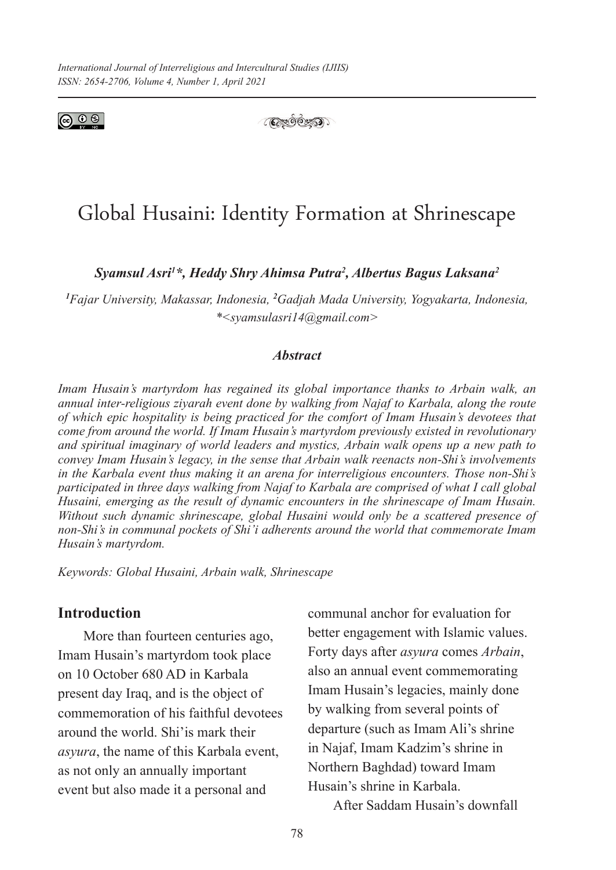



# Global Husaini: Identity Formation at Shrinescape

*Syamsul Asri1 \*, Heddy Shry Ahimsa Putra2 , Albertus Bagus Laksana2*

*1 Fajar University, Makassar, Indonesia, <sup>2</sup> Gadjah Mada University, Yogyakarta, Indonesia, \*<syamsulasri14@gmail.com>*

## *Abstract*

*Imam Husain's martyrdom has regained its global importance thanks to Arbain walk, an annual inter-religious ziyarah event done by walking from Najaf to Karbala, along the route of which epic hospitality is being practiced for the comfort of Imam Husain's devotees that come from around the world. If Imam Husain's martyrdom previously existed in revolutionary and spiritual imaginary of world leaders and mystics, Arbain walk opens up a new path to convey Imam Husain's legacy, in the sense that Arbain walk reenacts non-Shi's involvements in the Karbala event thus making it an arena for interreligious encounters. Those non-Shi's participated in three days walking from Najaf to Karbala are comprised of what I call global Husaini, emerging as the result of dynamic encounters in the shrinescape of Imam Husain. Without such dynamic shrinescape, global Husaini would only be a scattered presence of non-Shi's in communal pockets of Shi'i adherents around the world that commemorate Imam Husain's martyrdom.* 

*Keywords: Global Husaini, Arbain walk, Shrinescape*

# **Introduction**

More than fourteen centuries ago, Imam Husain's martyrdom took place on 10 October 680 AD in Karbala present day Iraq, and is the object of commemoration of his faithful devotees around the world. Shi'is mark their *asyura*, the name of this Karbala event, as not only an annually important event but also made it a personal and

communal anchor for evaluation for better engagement with Islamic values. Forty days after *asyura* comes *Arbain*, also an annual event commemorating Imam Husain's legacies, mainly done by walking from several points of departure (such as Imam Ali's shrine in Najaf, Imam Kadzim's shrine in Northern Baghdad) toward Imam Husain's shrine in Karbala.

After Saddam Husain's downfall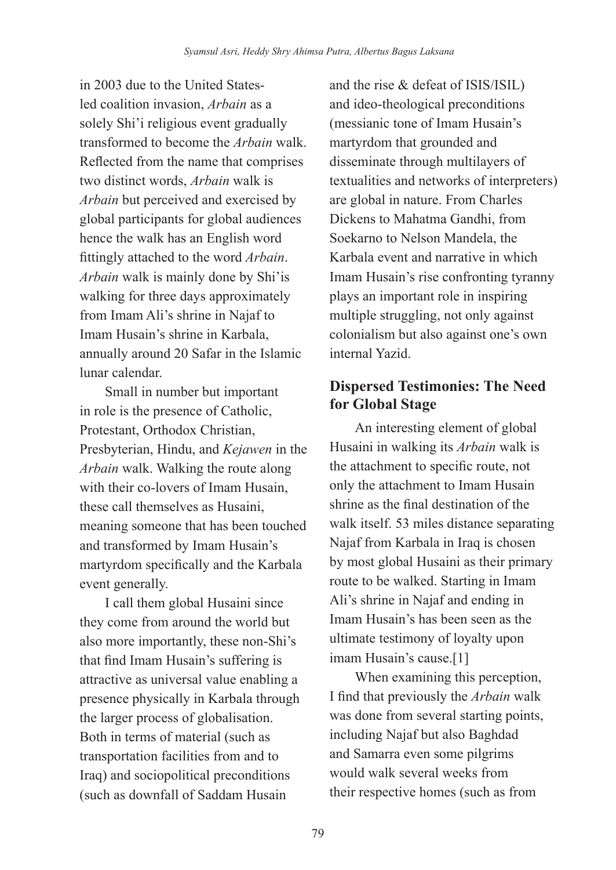in 2003 due to the United Statesled coalition invasion, *Arbain* as a solely Shi'i religious event gradually transformed to become the *Arbain* walk. Reflected from the name that comprises two distinct words, *Arbain* walk is *Arbain* but perceived and exercised by global participants for global audiences hence the walk has an English word fittingly attached to the word *Arbain*. *Arbain* walk is mainly done by Shi'is walking for three days approximately from Imam Ali's shrine in Najaf to Imam Husain's shrine in Karbala, annually around 20 Safar in the Islamic lunar calendar.

Small in number but important in role is the presence of Catholic, Protestant, Orthodox Christian, Presbyterian, Hindu, and *Kejawen* in the *Arbain* walk. Walking the route along with their co-lovers of Imam Husain. these call themselves as Husaini, meaning someone that has been touched and transformed by Imam Husain's martyrdom specifically and the Karbala event generally.

I call them global Husaini since they come from around the world but also more importantly, these non-Shi's that find Imam Husain's suffering is attractive as universal value enabling a presence physically in Karbala through the larger process of globalisation. Both in terms of material (such as transportation facilities from and to Iraq) and sociopolitical preconditions (such as downfall of Saddam Husain

and the rise & defeat of ISIS/ISIL) and ideo-theological preconditions (messianic tone of Imam Husain's martyrdom that grounded and disseminate through multilayers of textualities and networks of interpreters) are global in nature. From Charles Dickens to Mahatma Gandhi, from Soekarno to Nelson Mandela, the Karbala event and narrative in which Imam Husain's rise confronting tyranny plays an important role in inspiring multiple struggling, not only against colonialism but also against one's own internal Yazid.

# **Dispersed Testimonies: The Need for Global Stage**

An interesting element of global Husaini in walking its *Arbain* walk is the attachment to specific route, not only the attachment to Imam Husain shrine as the final destination of the walk itself. 53 miles distance separating Najaf from Karbala in Iraq is chosen by most global Husaini as their primary route to be walked. Starting in Imam Ali's shrine in Najaf and ending in Imam Husain's has been seen as the ultimate testimony of loyalty upon imam Husain's cause.[1]

When examining this perception, I find that previously the *Arbain* walk was done from several starting points, including Najaf but also Baghdad and Samarra even some pilgrims would walk several weeks from their respective homes (such as from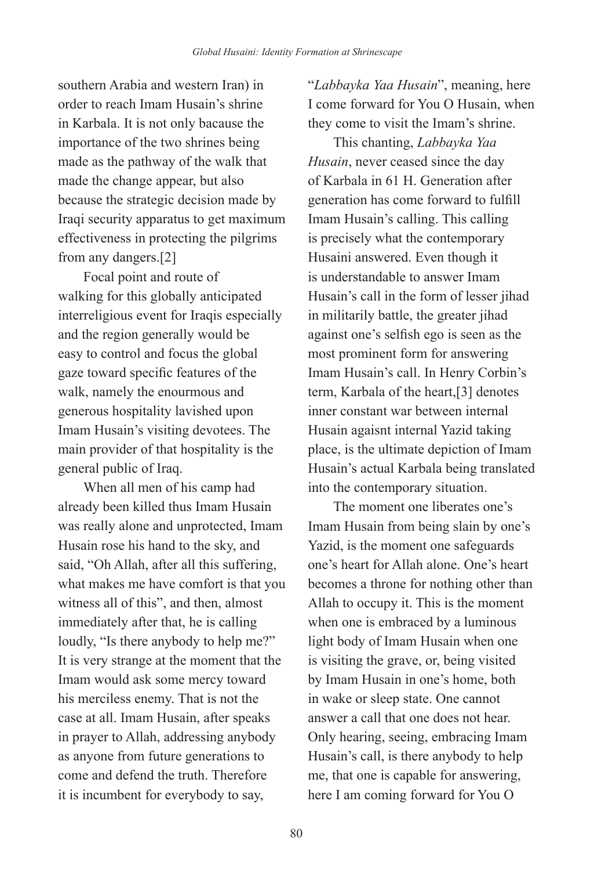southern Arabia and western Iran) in order to reach Imam Husain's shrine in Karbala. It is not only bacause the importance of the two shrines being made as the pathway of the walk that made the change appear, but also because the strategic decision made by Iraqi security apparatus to get maximum effectiveness in protecting the pilgrims from any dangers.[2]

Focal point and route of walking for this globally anticipated interreligious event for Iraqis especially and the region generally would be easy to control and focus the global gaze toward specific features of the walk, namely the enourmous and generous hospitality lavished upon Imam Husain's visiting devotees. The main provider of that hospitality is the general public of Iraq.

When all men of his camp had already been killed thus Imam Husain was really alone and unprotected, Imam Husain rose his hand to the sky, and said, "Oh Allah, after all this suffering, what makes me have comfort is that you witness all of this", and then, almost immediately after that, he is calling loudly, "Is there anybody to help me?" It is very strange at the moment that the Imam would ask some mercy toward his merciless enemy. That is not the case at all. Imam Husain, after speaks in prayer to Allah, addressing anybody as anyone from future generations to come and defend the truth. Therefore it is incumbent for everybody to say,

"*Labbayka Yaa Husain*", meaning, here I come forward for You O Husain, when they come to visit the Imam's shrine.

This chanting, *Labbayka Yaa Husain*, never ceased since the day of Karbala in 61 H. Generation after generation has come forward to fulfill Imam Husain's calling. This calling is precisely what the contemporary Husaini answered. Even though it is understandable to answer Imam Husain's call in the form of lesser jihad in militarily battle, the greater jihad against one's selfish ego is seen as the most prominent form for answering Imam Husain's call. In Henry Corbin's term, Karbala of the heart,[3] denotes inner constant war between internal Husain agaisnt internal Yazid taking place, is the ultimate depiction of Imam Husain's actual Karbala being translated into the contemporary situation.

The moment one liberates one's Imam Husain from being slain by one's Yazid, is the moment one safeguards one's heart for Allah alone. One's heart becomes a throne for nothing other than Allah to occupy it. This is the moment when one is embraced by a luminous light body of Imam Husain when one is visiting the grave, or, being visited by Imam Husain in one's home, both in wake or sleep state. One cannot answer a call that one does not hear. Only hearing, seeing, embracing Imam Husain's call, is there anybody to help me, that one is capable for answering, here I am coming forward for You O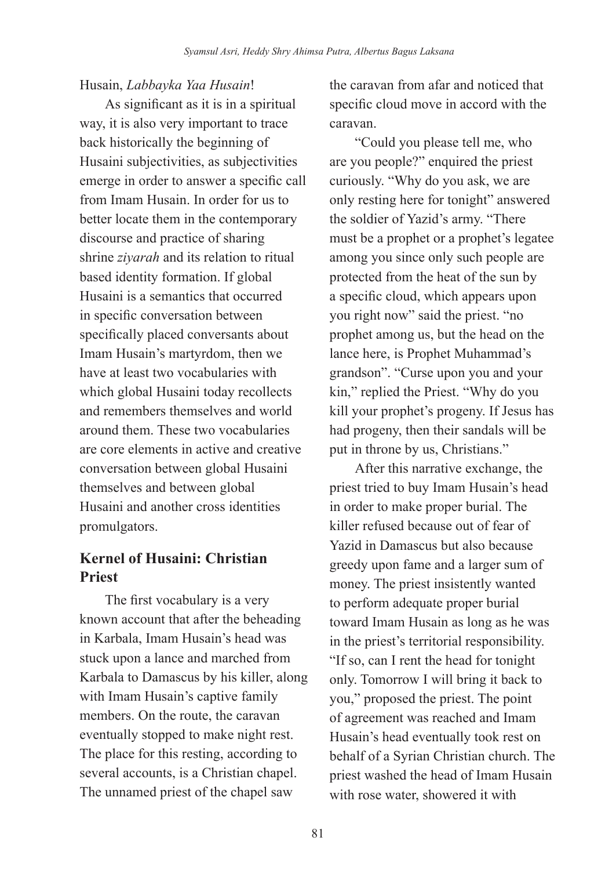# Husain, *Labbayka Yaa Husain*!

As significant as it is in a spiritual way, it is also very important to trace back historically the beginning of Husaini subjectivities, as subjectivities emerge in order to answer a specific call from Imam Husain. In order for us to better locate them in the contemporary discourse and practice of sharing shrine *ziyarah* and its relation to ritual based identity formation. If global Husaini is a semantics that occurred in specific conversation between specifically placed conversants about Imam Husain's martyrdom, then we have at least two vocabularies with which global Husaini today recollects and remembers themselves and world around them. These two vocabularies are core elements in active and creative conversation between global Husaini themselves and between global Husaini and another cross identities promulgators.

# **Kernel of Husaini: Christian Priest**

The first vocabulary is a very known account that after the beheading in Karbala, Imam Husain's head was stuck upon a lance and marched from Karbala to Damascus by his killer, along with Imam Husain's captive family members. On the route, the caravan eventually stopped to make night rest. The place for this resting, according to several accounts, is a Christian chapel. The unnamed priest of the chapel saw

the caravan from afar and noticed that specific cloud move in accord with the caravan.

"Could you please tell me, who are you people?" enquired the priest curiously. "Why do you ask, we are only resting here for tonight" answered the soldier of Yazid's army. "There must be a prophet or a prophet's legatee among you since only such people are protected from the heat of the sun by a specific cloud, which appears upon you right now" said the priest. "no prophet among us, but the head on the lance here, is Prophet Muhammad's grandson". "Curse upon you and your kin," replied the Priest. "Why do you kill your prophet's progeny. If Jesus has had progeny, then their sandals will be put in throne by us, Christians."

After this narrative exchange, the priest tried to buy Imam Husain's head in order to make proper burial. The killer refused because out of fear of Yazid in Damascus but also because greedy upon fame and a larger sum of money. The priest insistently wanted to perform adequate proper burial toward Imam Husain as long as he was in the priest's territorial responsibility. "If so, can I rent the head for tonight only. Tomorrow I will bring it back to you," proposed the priest. The point of agreement was reached and Imam Husain's head eventually took rest on behalf of a Syrian Christian church. The priest washed the head of Imam Husain with rose water, showered it with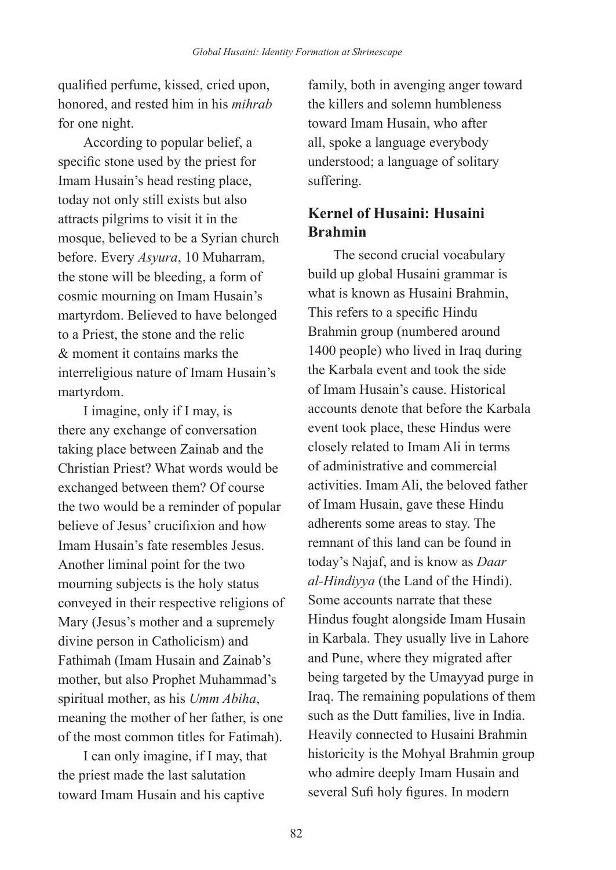qualified perfume, kissed, cried upon, honored, and rested him in his *mihrab* for one night.

According to popular belief, a specific stone used by the priest for Imam Husain's head resting place, today not only still exists but also attracts pilgrims to visit it in the mosque, believed to be a Syrian church before. Every *Asyura*, 10 Muharram, the stone will be bleeding, a form of cosmic mourning on Imam Husain's martyrdom. Believed to have belonged to a Priest, the stone and the relic & moment it contains marks the interreligious nature of Imam Husain's martyrdom.

I imagine, only if I may, is there any exchange of conversation taking place between Zainab and the Christian Priest? What words would be exchanged between them? Of course the two would be a reminder of popular believe of Jesus' crucifixion and how Imam Husain's fate resembles Jesus. Another liminal point for the two mourning subjects is the holy status conveyed in their respective religions of Mary (Jesus's mother and a supremely divine person in Catholicism) and Fathimah (Imam Husain and Zainab's mother, but also Prophet Muhammad's spiritual mother, as his *Umm Abiha*, meaning the mother of her father, is one of the most common titles for Fatimah).

I can only imagine, if I may, that the priest made the last salutation toward Imam Husain and his captive

family, both in avenging anger toward the killers and solemn humbleness toward Imam Husain, who after all, spoke a language everybody understood; a language of solitary suffering.

# **Kernel of Husaini: Husaini Brahmin**

The second crucial vocabulary build up global Husaini grammar is what is known as Husaini Brahmin, This refers to a specific Hindu Brahmin group (numbered around 1400 people) who lived in Iraq during the Karbala event and took the side of Imam Husain's cause. Historical accounts denote that before the Karbala event took place, these Hindus were closely related to Imam Ali in terms of administrative and commercial activities. Imam Ali, the beloved father of Imam Husain, gave these Hindu adherents some areas to stay. The remnant of this land can be found in today's Najaf, and is know as *Daar al-Hindiyya* (the Land of the Hindi). Some accounts narrate that these Hindus fought alongside Imam Husain in Karbala. They usually live in Lahore and Pune, where they migrated after being targeted by the Umayyad purge in Iraq. The remaining populations of them such as the Dutt families, live in India. Heavily connected to Husaini Brahmin historicity is the Mohyal Brahmin group who admire deeply Imam Husain and several Sufi holy figures. In modern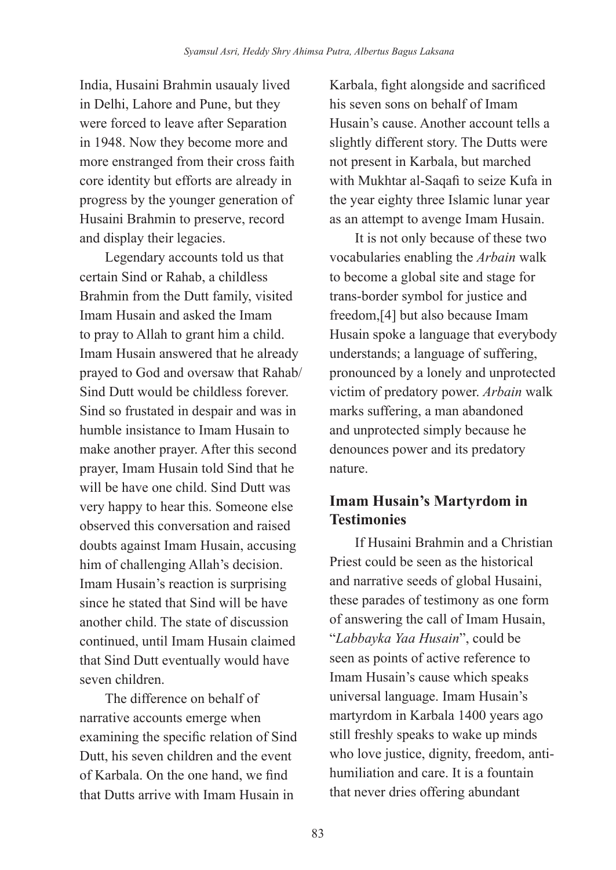India, Husaini Brahmin usaualy lived in Delhi, Lahore and Pune, but they were forced to leave after Separation in 1948. Now they become more and more enstranged from their cross faith core identity but efforts are already in progress by the younger generation of Husaini Brahmin to preserve, record and display their legacies.

Legendary accounts told us that certain Sind or Rahab, a childless Brahmin from the Dutt family, visited Imam Husain and asked the Imam to pray to Allah to grant him a child. Imam Husain answered that he already prayed to God and oversaw that Rahab/ Sind Dutt would be childless forever. Sind so frustated in despair and was in humble insistance to Imam Husain to make another prayer. After this second prayer, Imam Husain told Sind that he will be have one child. Sind Dutt was very happy to hear this. Someone else observed this conversation and raised doubts against Imam Husain, accusing him of challenging Allah's decision. Imam Husain's reaction is surprising since he stated that Sind will be have another child. The state of discussion continued, until Imam Husain claimed that Sind Dutt eventually would have seven children.

The difference on behalf of narrative accounts emerge when examining the specific relation of Sind Dutt, his seven children and the event of Karbala. On the one hand, we find that Dutts arrive with Imam Husain in

Karbala, fight alongside and sacrificed his seven sons on behalf of Imam Husain's cause. Another account tells a slightly different story. The Dutts were not present in Karbala, but marched with Mukhtar al-Saqafi to seize Kufa in the year eighty three Islamic lunar year as an attempt to avenge Imam Husain.

It is not only because of these two vocabularies enabling the *Arbain* walk to become a global site and stage for trans-border symbol for justice and freedom,[4] but also because Imam Husain spoke a language that everybody understands; a language of suffering, pronounced by a lonely and unprotected victim of predatory power. *Arbain* walk marks suffering, a man abandoned and unprotected simply because he denounces power and its predatory nature.

# **Imam Husain's Martyrdom in Testimonies**

If Husaini Brahmin and a Christian Priest could be seen as the historical and narrative seeds of global Husaini, these parades of testimony as one form of answering the call of Imam Husain, "*Labbayka Yaa Husain*", could be seen as points of active reference to Imam Husain's cause which speaks universal language. Imam Husain's martyrdom in Karbala 1400 years ago still freshly speaks to wake up minds who love justice, dignity, freedom, antihumiliation and care. It is a fountain that never dries offering abundant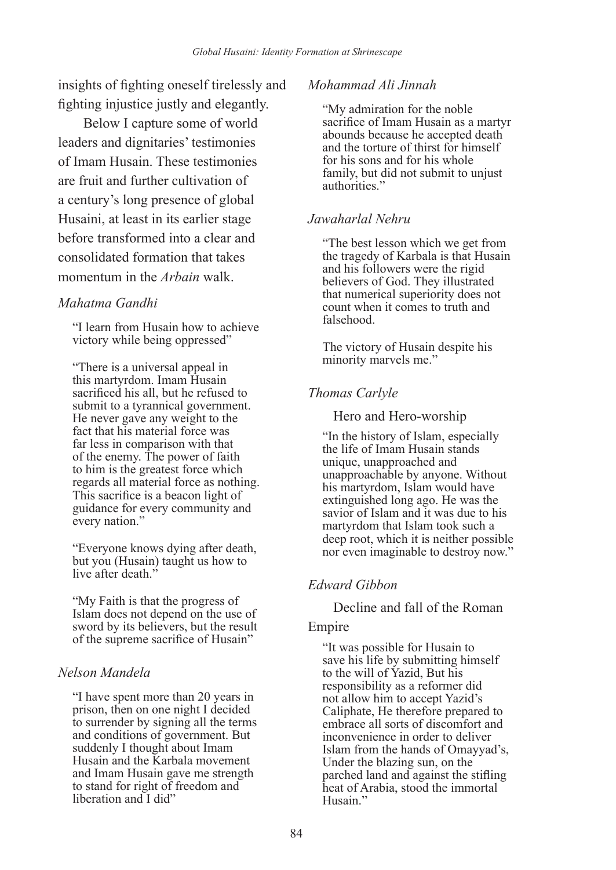insights of fighting oneself tirelessly and fighting injustice justly and elegantly.

Below I capture some of world leaders and dignitaries' testimonies of Imam Husain. These testimonies are fruit and further cultivation of a century's long presence of global Husaini, at least in its earlier stage before transformed into a clear and consolidated formation that takes momentum in the *Arbain* walk.

#### *Mahatma Gandhi*

"I learn from Husain how to achieve victory while being oppressed"

"There is a universal appeal in this martyrdom. Imam Husain sacrificed his all, but he refused to submit to a tyrannical government. He never gave any weight to the fact that his material force was far less in comparison with that of the enemy. The power of faith to him is the greatest force which regards all material force as nothing. This sacrifice is a beacon light of guidance for every community and every nation."

"Everyone knows dying after death, but you (Husain) taught us how to live after death."

"My Faith is that the progress of Islam does not depend on the use of sword by its believers, but the result of the supreme sacrifice of Husain"

## *Nelson Mandela*

"I have spent more than 20 years in prison, then on one night I decided to surrender by signing all the terms and conditions of government. But suddenly I thought about Imam Husain and the Karbala movement and Imam Husain gave me strength to stand for right of freedom and liberation and I did"

## *Mohammad Ali Jinnah*

"My admiration for the noble sacrifice of Imam Husain as a martyr abounds because he accepted death and the torture of thirst for himself for his sons and for his whole family, but did not submit to unjust authorities.'

## *Jawaharlal Nehru*

"The best lesson which we get from the tragedy of Karbala is that Husain and his followers were the rigid believers of God. They illustrated that numerical superiority does not count when it comes to truth and falsehood.

The victory of Husain despite his minority marvels me."

# *Thomas Carlyle*

Hero and Hero-worship

"In the history of Islam, especially the life of Imam Husain stands unique, unapproached and unapproachable by anyone. Without his martyrdom, Islam would have extinguished long ago. He was the savior of Islam and it was due to his martyrdom that Islam took such a deep root, which it is neither possible nor even imaginable to destroy now."

## *Edward Gibbon*

Decline and fall of the Roman

## Empire

"It was possible for Husain to save his life by submitting himself to the will of Yazid, But his responsibility as a reformer did not allow him to accept Yazid's Caliphate, He therefore prepared to embrace all sorts of discomfort and inconvenience in order to deliver Islam from the hands of Omayyad's, Under the blazing sun, on the parched land and against the stifling heat of Arabia, stood the immortal Husain<sup>?</sup>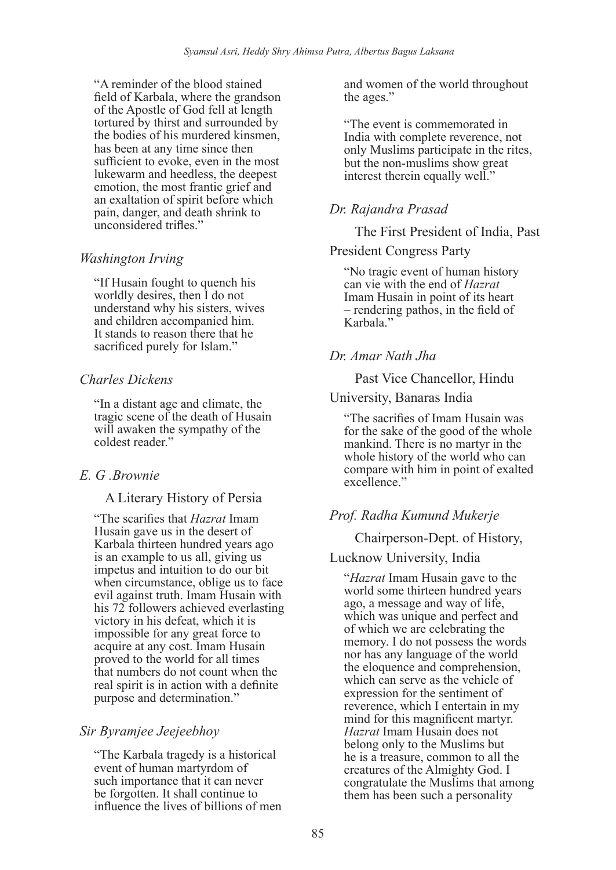"A reminder of the blood stained field of Karbala, where the grandson of the Apostle of God fell at length tortured by thirst and surrounded by the bodies of his murdered kinsmen, has been at any time since then sufficient to evoke, even in the most lukewarm and heedless, the deepest emotion, the most frantic grief and an exaltation of spirit before which pain, danger, and death shrink to unconsidered trifles."

# *Washington Irving*

"If Husain fought to quench his worldly desires, then I do not understand why his sisters, wives and children accompanied him. It stands to reason there that he sacrificed purely for Islam."

## *Charles Dickens*

"In a distant age and climate, the tragic scene of the death of Husain will awaken the sympathy of the coldest reader."

# *E. G .Brownie*

## A Literary History of Persia

"The scarifies that *Hazrat* Imam Husain gave us in the desert of Karbala thirteen hundred years ago is an example to us all, giving us impetus and intuition to do our bit when circumstance, oblige us to face evil against truth. Imam Husain with his 72 followers achieved everlasting victory in his defeat, which it is impossible for any great force to acquire at any cost. Imam Husain proved to the world for all times that numbers do not count when the real spirit is in action with a definite purpose and determination."

## *Sir Byramjee Jeejeebhoy*

"The Karbala tragedy is a historical event of human martyrdom of such importance that it can never be forgotten. It shall continue to influence the lives of billions of men and women of the world throughout the ages."

"The event is commemorated in India with complete reverence, not only Muslims participate in the rites, but the non-muslims show great interest therein equally well."

# *Dr. Rajandra Prasad*

The First President of India, Past

#### President Congress Party

"No tragic event of human history can vie with the end of *Hazrat* Imam Husain in point of its heart – rendering pathos, in the field of Karbala<sup>"</sup>

## *Dr. Amar Nath Jha*

Past Vice Chancellor, Hindu

#### University, Banaras India

"The sacrifies of Imam Husain was for the sake of the good of the whole mankind. There is no martyr in the whole history of the world who can compare with him in point of exalted excellence"

# *Prof. Radha Kumund Mukerje*

Chairperson-Dept. of History,

## Lucknow University, India

"*Hazrat* Imam Husain gave to the world some thirteen hundred years ago, a message and way of life, which was unique and perfect and of which we are celebrating the memory. I do not possess the words nor has any language of the world the eloquence and comprehension, which can serve as the vehicle of expression for the sentiment of reverence, which I entertain in my mind for this magnificent martyr. *Hazrat* Imam Husain does not belong only to the Muslims but he is a treasure, common to all the creatures of the Almighty God. I congratulate the Muslims that among them has been such a personality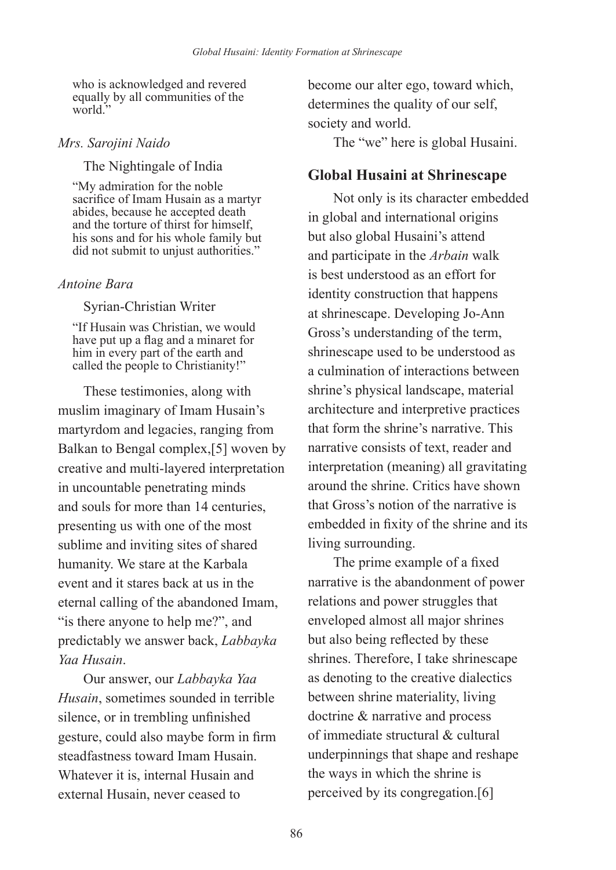who is acknowledged and revered equally by all communities of the world<sup>"</sup>

#### *Mrs. Sarojini Naido*

The Nightingale of India

"My admiration for the noble sacrifice of Imam Husain as a martyr abides, because he accepted death and the torture of thirst for himself, his sons and for his whole family but did not submit to unjust authorities."

## *Antoine Bara*

Syrian-Christian Writer

"If Husain was Christian, we would have put up a flag and a minaret for him in every part of the earth and called the people to Christianity!"

These testimonies, along with muslim imaginary of Imam Husain's martyrdom and legacies, ranging from Balkan to Bengal complex,[5] woven by creative and multi-layered interpretation in uncountable penetrating minds and souls for more than 14 centuries, presenting us with one of the most sublime and inviting sites of shared humanity. We stare at the Karbala event and it stares back at us in the eternal calling of the abandoned Imam, "is there anyone to help me?", and predictably we answer back, *Labbayka Yaa Husain*.

Our answer, our *Labbayka Yaa Husain*, sometimes sounded in terrible silence, or in trembling unfinished gesture, could also maybe form in firm steadfastness toward Imam Husain. Whatever it is, internal Husain and external Husain, never ceased to

become our alter ego, toward which, determines the quality of our self, society and world.

The "we" here is global Husaini.

# **Global Husaini at Shrinescape**

Not only is its character embedded in global and international origins but also global Husaini's attend and participate in the *Arbain* walk is best understood as an effort for identity construction that happens at shrinescape. Developing Jo-Ann Gross's understanding of the term, shrinescape used to be understood as a culmination of interactions between shrine's physical landscape, material architecture and interpretive practices that form the shrine's narrative. This narrative consists of text, reader and interpretation (meaning) all gravitating around the shrine. Critics have shown that Gross's notion of the narrative is embedded in fixity of the shrine and its living surrounding.

The prime example of a fixed narrative is the abandonment of power relations and power struggles that enveloped almost all major shrines but also being reflected by these shrines. Therefore, I take shrinescape as denoting to the creative dialectics between shrine materiality, living doctrine & narrative and process of immediate structural & cultural underpinnings that shape and reshape the ways in which the shrine is perceived by its congregation.[6]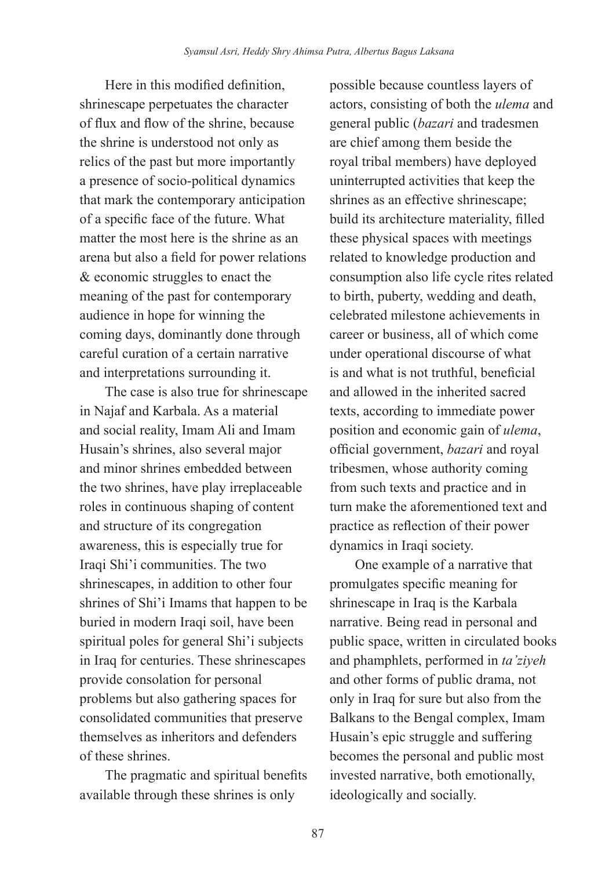Here in this modified definition, shrinescape perpetuates the character of flux and flow of the shrine, because the shrine is understood not only as relics of the past but more importantly a presence of socio-political dynamics that mark the contemporary anticipation of a specific face of the future. What matter the most here is the shrine as an arena but also a field for power relations & economic struggles to enact the meaning of the past for contemporary audience in hope for winning the coming days, dominantly done through careful curation of a certain narrative and interpretations surrounding it.

The case is also true for shrinescape in Najaf and Karbala. As a material and social reality, Imam Ali and Imam Husain's shrines, also several major and minor shrines embedded between the two shrines, have play irreplaceable roles in continuous shaping of content and structure of its congregation awareness, this is especially true for Iraqi Shi'i communities. The two shrinescapes, in addition to other four shrines of Shi'i Imams that happen to be buried in modern Iraqi soil, have been spiritual poles for general Shi'i subjects in Iraq for centuries. These shrinescapes provide consolation for personal problems but also gathering spaces for consolidated communities that preserve themselves as inheritors and defenders of these shrines.

The pragmatic and spiritual benefits available through these shrines is only

possible because countless layers of actors, consisting of both the *ulema* and general public (*bazari* and tradesmen are chief among them beside the royal tribal members) have deployed uninterrupted activities that keep the shrines as an effective shrinescape; build its architecture materiality, filled these physical spaces with meetings related to knowledge production and consumption also life cycle rites related to birth, puberty, wedding and death, celebrated milestone achievements in career or business, all of which come under operational discourse of what is and what is not truthful, beneficial and allowed in the inherited sacred texts, according to immediate power position and economic gain of *ulema*, official government, *bazari* and royal tribesmen, whose authority coming from such texts and practice and in turn make the aforementioned text and practice as reflection of their power dynamics in Iraqi society.

One example of a narrative that promulgates specific meaning for shrinescape in Iraq is the Karbala narrative. Being read in personal and public space, written in circulated books and phamphlets, performed in *ta'ziyeh* and other forms of public drama, not only in Iraq for sure but also from the Balkans to the Bengal complex, Imam Husain's epic struggle and suffering becomes the personal and public most invested narrative, both emotionally, ideologically and socially.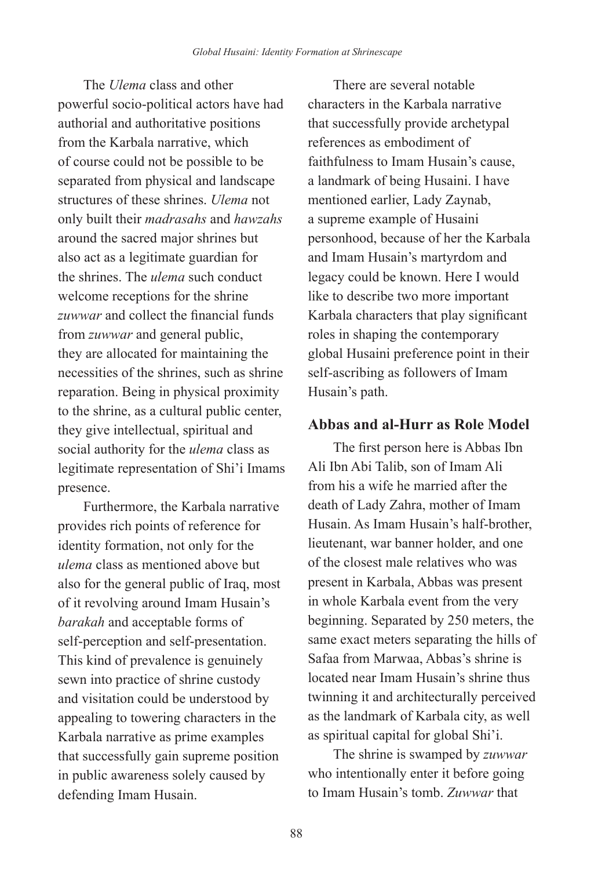The *Ulema* class and other powerful socio-political actors have had authorial and authoritative positions from the Karbala narrative, which of course could not be possible to be separated from physical and landscape structures of these shrines. *Ulema* not only built their *madrasahs* and *hawzahs* around the sacred major shrines but also act as a legitimate guardian for the shrines. The *ulema* such conduct welcome receptions for the shrine *zuwwar* and collect the financial funds from *zuwwar* and general public, they are allocated for maintaining the necessities of the shrines, such as shrine reparation. Being in physical proximity to the shrine, as a cultural public center, they give intellectual, spiritual and social authority for the *ulema* class as legitimate representation of Shi'i Imams presence.

Furthermore, the Karbala narrative provides rich points of reference for identity formation, not only for the *ulema* class as mentioned above but also for the general public of Iraq, most of it revolving around Imam Husain's *barakah* and acceptable forms of self-perception and self-presentation. This kind of prevalence is genuinely sewn into practice of shrine custody and visitation could be understood by appealing to towering characters in the Karbala narrative as prime examples that successfully gain supreme position in public awareness solely caused by defending Imam Husain.

There are several notable characters in the Karbala narrative that successfully provide archetypal references as embodiment of faithfulness to Imam Husain's cause, a landmark of being Husaini. I have mentioned earlier, Lady Zaynab, a supreme example of Husaini personhood, because of her the Karbala and Imam Husain's martyrdom and legacy could be known. Here I would like to describe two more important Karbala characters that play significant roles in shaping the contemporary global Husaini preference point in their self-ascribing as followers of Imam Husain's path.

# **Abbas and al-Hurr as Role Model**

The first person here is Abbas Ibn Ali Ibn Abi Talib, son of Imam Ali from his a wife he married after the death of Lady Zahra, mother of Imam Husain. As Imam Husain's half-brother, lieutenant, war banner holder, and one of the closest male relatives who was present in Karbala, Abbas was present in whole Karbala event from the very beginning. Separated by 250 meters, the same exact meters separating the hills of Safaa from Marwaa, Abbas's shrine is located near Imam Husain's shrine thus twinning it and architecturally perceived as the landmark of Karbala city, as well as spiritual capital for global Shi'i.

The shrine is swamped by *zuwwar* who intentionally enter it before going to Imam Husain's tomb. *Zuwwar* that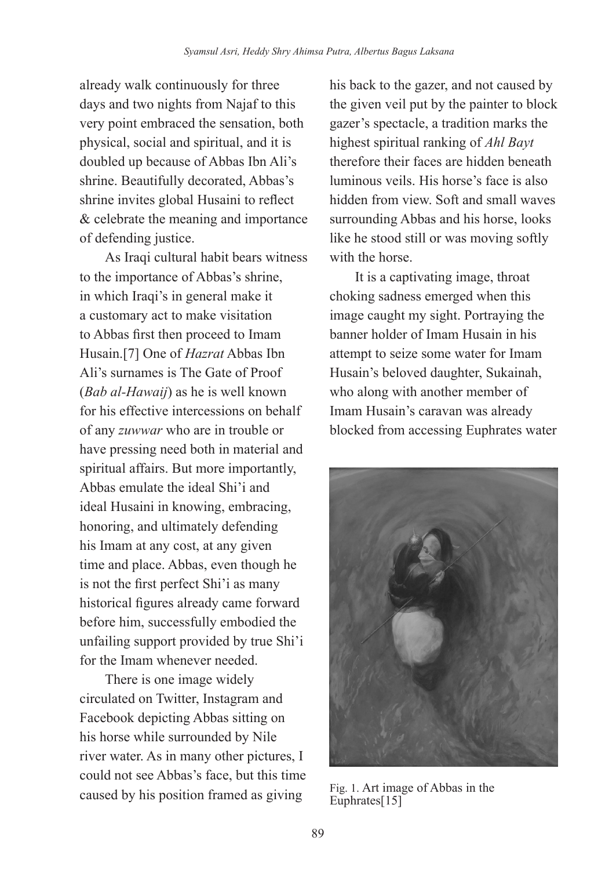already walk continuously for three days and two nights from Najaf to this very point embraced the sensation, both physical, social and spiritual, and it is doubled up because of Abbas Ibn Ali's shrine. Beautifully decorated, Abbas's shrine invites global Husaini to reflect & celebrate the meaning and importance of defending justice.

As Iraqi cultural habit bears witness to the importance of Abbas's shrine, in which Iraqi's in general make it a customary act to make visitation to Abbas first then proceed to Imam Husain.[7] One of *Hazrat* Abbas Ibn Ali's surnames is The Gate of Proof (*Bab al-Hawaij*) as he is well known for his effective intercessions on behalf of any *zuwwar* who are in trouble or have pressing need both in material and spiritual affairs. But more importantly, Abbas emulate the ideal Shi'i and ideal Husaini in knowing, embracing, honoring, and ultimately defending his Imam at any cost, at any given time and place. Abbas, even though he is not the first perfect Shi'i as many historical figures already came forward before him, successfully embodied the unfailing support provided by true Shi'i for the Imam whenever needed.

There is one image widely circulated on Twitter, Instagram and Facebook depicting Abbas sitting on his horse while surrounded by Nile river water. As in many other pictures, I could not see Abbas's face, but this time caused by his position framed as giving Fig. 1. Art image of Abbas in the

his back to the gazer, and not caused by the given veil put by the painter to block gazer's spectacle, a tradition marks the highest spiritual ranking of *Ahl Bayt* therefore their faces are hidden beneath luminous veils. His horse's face is also hidden from view. Soft and small waves surrounding Abbas and his horse, looks like he stood still or was moving softly with the horse.

It is a captivating image, throat choking sadness emerged when this image caught my sight. Portraying the banner holder of Imam Husain in his attempt to seize some water for Imam Husain's beloved daughter, Sukainah, who along with another member of Imam Husain's caravan was already blocked from accessing Euphrates water



Euphrates<sup>[15]</sup>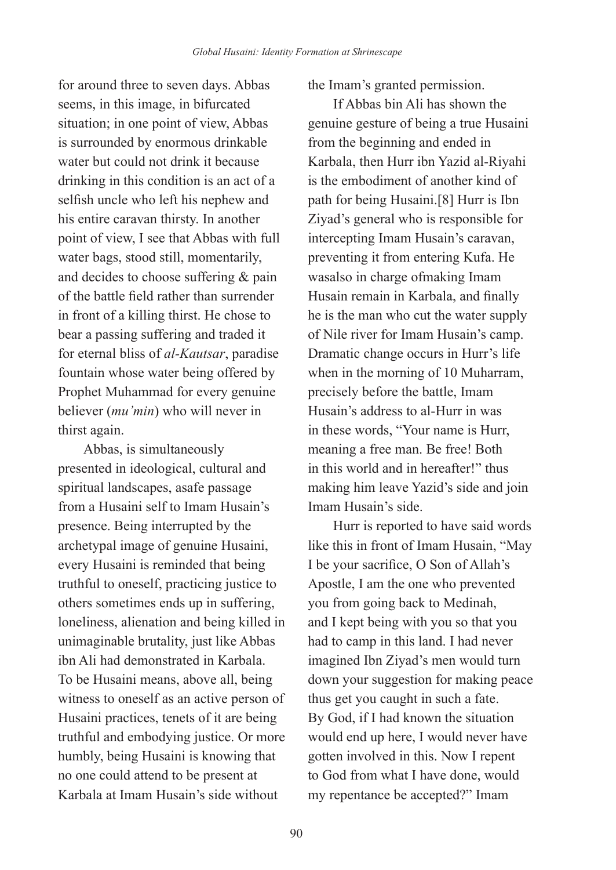for around three to seven days. Abbas seems, in this image, in bifurcated situation; in one point of view, Abbas is surrounded by enormous drinkable water but could not drink it because drinking in this condition is an act of a selfish uncle who left his nephew and his entire caravan thirsty. In another point of view, I see that Abbas with full water bags, stood still, momentarily, and decides to choose suffering & pain of the battle field rather than surrender in front of a killing thirst. He chose to bear a passing suffering and traded it for eternal bliss of *al-Kautsar*, paradise fountain whose water being offered by Prophet Muhammad for every genuine believer (*mu'min*) who will never in thirst again.

Abbas, is simultaneously presented in ideological, cultural and spiritual landscapes, asafe passage from a Husaini self to Imam Husain's presence. Being interrupted by the archetypal image of genuine Husaini, every Husaini is reminded that being truthful to oneself, practicing justice to others sometimes ends up in suffering, loneliness, alienation and being killed in unimaginable brutality, just like Abbas ibn Ali had demonstrated in Karbala. To be Husaini means, above all, being witness to oneself as an active person of Husaini practices, tenets of it are being truthful and embodying justice. Or more humbly, being Husaini is knowing that no one could attend to be present at Karbala at Imam Husain's side without

the Imam's granted permission.

If Abbas bin Ali has shown the genuine gesture of being a true Husaini from the beginning and ended in Karbala, then Hurr ibn Yazid al-Riyahi is the embodiment of another kind of path for being Husaini.[8] Hurr is Ibn Ziyad's general who is responsible for intercepting Imam Husain's caravan, preventing it from entering Kufa. He wasalso in charge ofmaking Imam Husain remain in Karbala, and finally he is the man who cut the water supply of Nile river for Imam Husain's camp. Dramatic change occurs in Hurr's life when in the morning of 10 Muharram, precisely before the battle, Imam Husain's address to al-Hurr in was in these words, "Your name is Hurr, meaning a free man. Be free! Both in this world and in hereafter!" thus making him leave Yazid's side and join Imam Husain's side.

Hurr is reported to have said words like this in front of Imam Husain, "May I be your sacrifice, O Son of Allah's Apostle, I am the one who prevented you from going back to Medinah, and I kept being with you so that you had to camp in this land. I had never imagined Ibn Ziyad's men would turn down your suggestion for making peace thus get you caught in such a fate. By God, if I had known the situation would end up here, I would never have gotten involved in this. Now I repent to God from what I have done, would my repentance be accepted?" Imam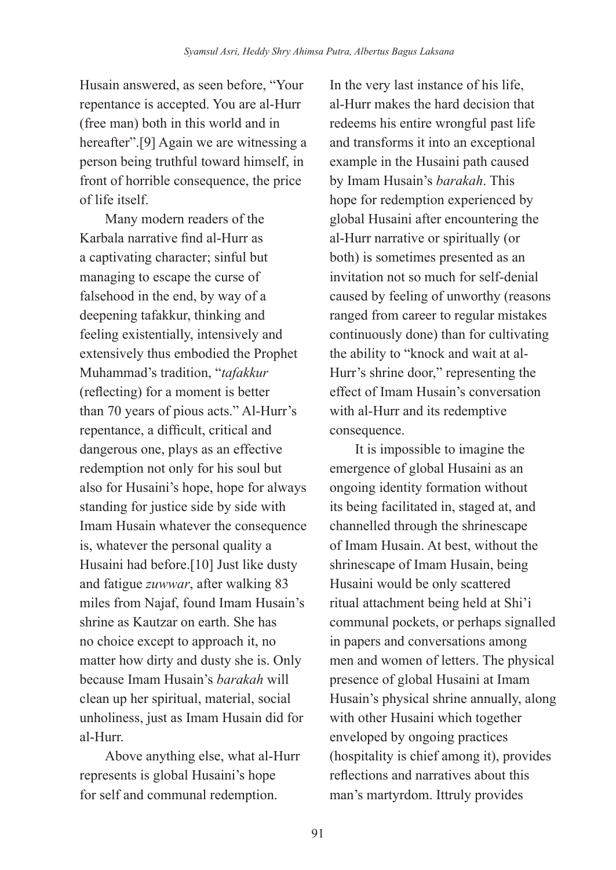Husain answered, as seen before, "Your repentance is accepted. You are al-Hurr (free man) both in this world and in hereafter".<sup>[9]</sup> Again we are witnessing a person being truthful toward himself, in front of horrible consequence, the price of life itself.

Many modern readers of the Karbala narrative find al-Hurr as a captivating character; sinful but managing to escape the curse of falsehood in the end, by way of a deepening tafakkur, thinking and feeling existentially, intensively and extensively thus embodied the Prophet Muhammad's tradition, "*tafakkur* (reflecting) for a moment is better than 70 years of pious acts." Al-Hurr's repentance, a difficult, critical and dangerous one, plays as an effective redemption not only for his soul but also for Husaini's hope, hope for always standing for justice side by side with Imam Husain whatever the consequence is, whatever the personal quality a Husaini had before.[10] Just like dusty and fatigue *zuwwar*, after walking 83 miles from Najaf, found Imam Husain's shrine as Kautzar on earth. She has no choice except to approach it, no matter how dirty and dusty she is. Only because Imam Husain's *barakah* will clean up her spiritual, material, social unholiness, just as Imam Husain did for al-Hurr.

Above anything else, what al-Hurr represents is global Husaini's hope for self and communal redemption.

In the very last instance of his life, al-Hurr makes the hard decision that redeems his entire wrongful past life and transforms it into an exceptional example in the Husaini path caused by Imam Husain's *barakah*. This hope for redemption experienced by global Husaini after encountering the al-Hurr narrative or spiritually (or both) is sometimes presented as an invitation not so much for self-denial caused by feeling of unworthy (reasons ranged from career to regular mistakes continuously done) than for cultivating the ability to "knock and wait at al-Hurr's shrine door," representing the effect of Imam Husain's conversation with al-Hurr and its redemptive consequence.

It is impossible to imagine the emergence of global Husaini as an ongoing identity formation without its being facilitated in, staged at, and channelled through the shrinescape of Imam Husain. At best, without the shrinescape of Imam Husain, being Husaini would be only scattered ritual attachment being held at Shi'i communal pockets, or perhaps signalled in papers and conversations among men and women of letters. The physical presence of global Husaini at Imam Husain's physical shrine annually, along with other Husaini which together enveloped by ongoing practices (hospitality is chief among it), provides reflections and narratives about this man's martyrdom. Ittruly provides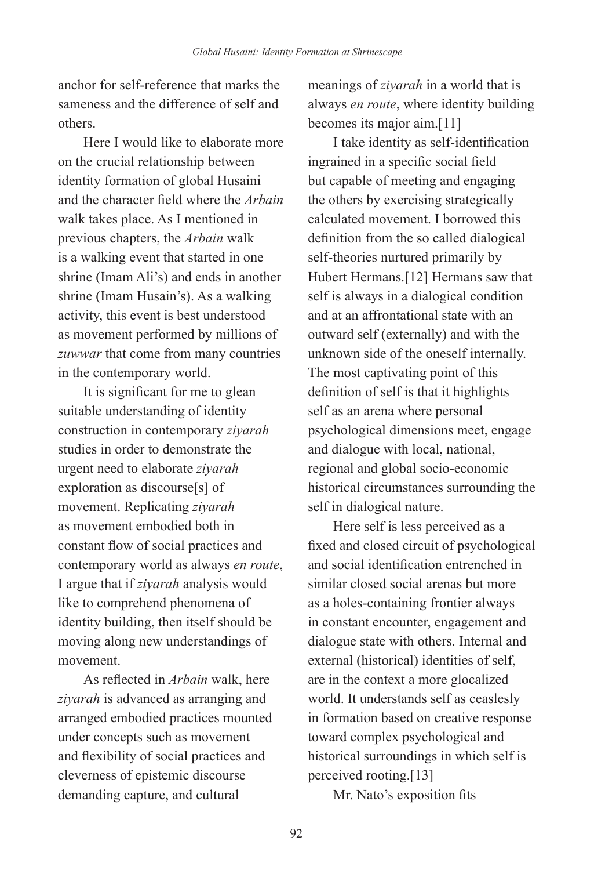anchor for self-reference that marks the sameness and the difference of self and others.

Here I would like to elaborate more on the crucial relationship between identity formation of global Husaini and the character field where the *Arbain* walk takes place. As I mentioned in previous chapters, the *Arbain* walk is a walking event that started in one shrine (Imam Ali's) and ends in another shrine (Imam Husain's). As a walking activity, this event is best understood as movement performed by millions of *zuwwar* that come from many countries in the contemporary world.

It is significant for me to glean suitable understanding of identity construction in contemporary *ziyarah* studies in order to demonstrate the urgent need to elaborate *ziyarah* exploration as discourse[s] of movement. Replicating *ziyarah* as movement embodied both in constant flow of social practices and contemporary world as always *en route*, I argue that if *ziyarah* analysis would like to comprehend phenomena of identity building, then itself should be moving along new understandings of movement.

As reflected in *Arbain* walk, here *ziyarah* is advanced as arranging and arranged embodied practices mounted under concepts such as movement and flexibility of social practices and cleverness of epistemic discourse demanding capture, and cultural

meanings of *ziyarah* in a world that is always *en route*, where identity building becomes its major aim.[11]

I take identity as self-identification ingrained in a specific social field but capable of meeting and engaging the others by exercising strategically calculated movement. I borrowed this definition from the so called dialogical self-theories nurtured primarily by Hubert Hermans.[12] Hermans saw that self is always in a dialogical condition and at an affrontational state with an outward self (externally) and with the unknown side of the oneself internally. The most captivating point of this definition of self is that it highlights self as an arena where personal psychological dimensions meet, engage and dialogue with local, national, regional and global socio-economic historical circumstances surrounding the self in dialogical nature.

Here self is less perceived as a fixed and closed circuit of psychological and social identification entrenched in similar closed social arenas but more as a holes-containing frontier always in constant encounter, engagement and dialogue state with others. Internal and external (historical) identities of self, are in the context a more glocalized world. It understands self as ceaslesly in formation based on creative response toward complex psychological and historical surroundings in which self is perceived rooting.[13]

Mr. Nato's exposition fits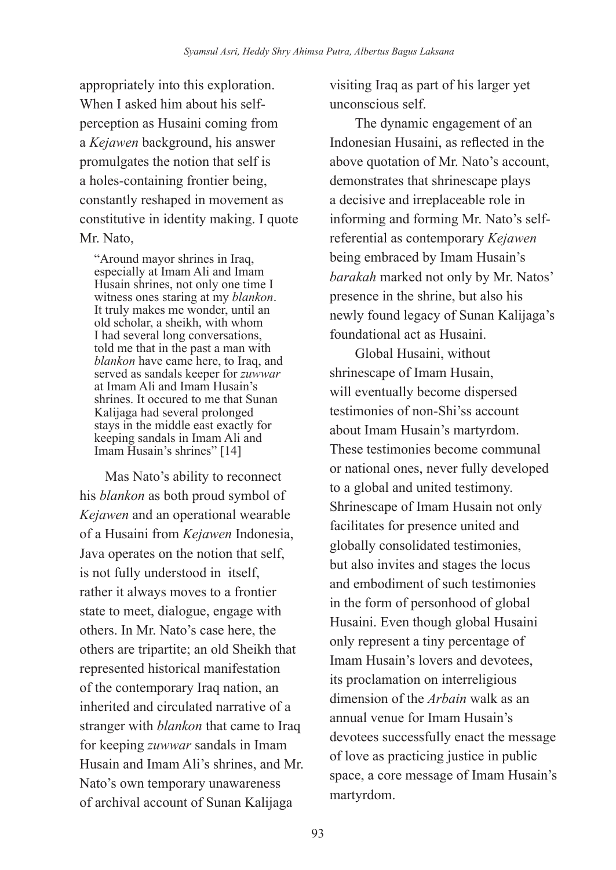appropriately into this exploration. When I asked him about his selfperception as Husaini coming from a *Kejawen* background, his answer promulgates the notion that self is a holes-containing frontier being, constantly reshaped in movement as constitutive in identity making. I quote Mr. Nato,

"Around mayor shrines in Iraq, especially at Imam Ali and Imam Husain shrines, not only one time I witness ones staring at my *blankon*. It truly makes me wonder, until an old scholar, a sheikh, with whom I had several long conversations, told me that in the past a man with *blankon* have came here, to Iraq, and served as sandals keeper for *zuwwar* at Imam Ali and Imam Husain's shrines. It occured to me that Sunan Kalijaga had several prolonged stays in the middle east exactly for keeping sandals in Imam Ali and Imam Husain's shrines" [14]

Mas Nato's ability to reconnect his *blankon* as both proud symbol of *Kejawen* and an operational wearable of a Husaini from *Kejawen* Indonesia, Java operates on the notion that self, is not fully understood in itself, rather it always moves to a frontier state to meet, dialogue, engage with others. In Mr. Nato's case here, the others are tripartite; an old Sheikh that represented historical manifestation of the contemporary Iraq nation, an inherited and circulated narrative of a stranger with *blankon* that came to Iraq for keeping *zuwwar* sandals in Imam Husain and Imam Ali's shrines, and Mr. Nato's own temporary unawareness of archival account of Sunan Kalijaga

visiting Iraq as part of his larger yet unconscious self.

The dynamic engagement of an Indonesian Husaini, as reflected in the above quotation of Mr. Nato's account, demonstrates that shrinescape plays a decisive and irreplaceable role in informing and forming Mr. Nato's selfreferential as contemporary *Kejawen* being embraced by Imam Husain's *barakah* marked not only by Mr. Natos' presence in the shrine, but also his newly found legacy of Sunan Kalijaga's foundational act as Husaini.

Global Husaini, without shrinescape of Imam Husain, will eventually become dispersed testimonies of non-Shi'ss account about Imam Husain's martyrdom. These testimonies become communal or national ones, never fully developed to a global and united testimony. Shrinescape of Imam Husain not only facilitates for presence united and globally consolidated testimonies, but also invites and stages the locus and embodiment of such testimonies in the form of personhood of global Husaini. Even though global Husaini only represent a tiny percentage of Imam Husain's lovers and devotees, its proclamation on interreligious dimension of the *Arbain* walk as an annual venue for Imam Husain's devotees successfully enact the message of love as practicing justice in public space, a core message of Imam Husain's martyrdom.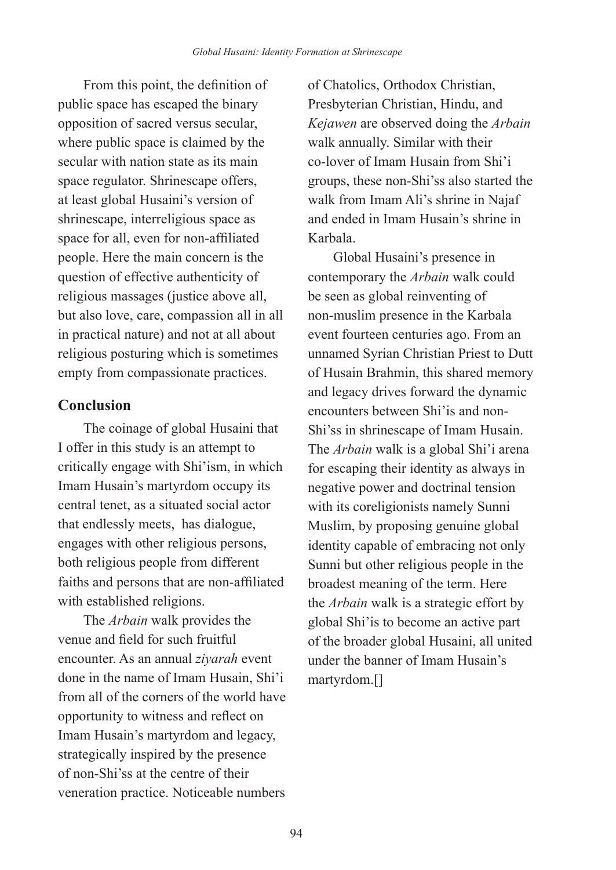From this point, the definition of public space has escaped the binary opposition of sacred versus secular, where public space is claimed by the secular with nation state as its main space regulator. Shrinescape offers, at least global Husaini's version of shrinescape, interreligious space as space for all, even for non-affiliated people. Here the main concern is the question of effective authenticity of religious massages (justice above all, but also love, care, compassion all in all in practical nature) and not at all about religious posturing which is sometimes empty from compassionate practices.

# **Conclusion**

The coinage of global Husaini that I offer in this study is an attempt to critically engage with Shi'ism, in which Imam Husain's martyrdom occupy its central tenet, as a situated social actor that endlessly meets, has dialogue, engages with other religious persons, both religious people from different faiths and persons that are non-affiliated with established religions.

The *Arbain* walk provides the venue and field for such fruitful encounter. As an annual *ziyarah* event done in the name of Imam Husain, Shi'i from all of the corners of the world have opportunity to witness and reflect on Imam Husain's martyrdom and legacy, strategically inspired by the presence of non-Shi'ss at the centre of their veneration practice. Noticeable numbers

of Chatolics, Orthodox Christian, Presbyterian Christian, Hindu, and *Kejawen* are observed doing the *Arbain* walk annually. Similar with their co-lover of Imam Husain from Shi'i groups, these non-Shi'ss also started the walk from Imam Ali's shrine in Najaf and ended in Imam Husain's shrine in Karbala.

Global Husaini's presence in contemporary the *Arbain* walk could be seen as global reinventing of non-muslim presence in the Karbala event fourteen centuries ago. From an unnamed Syrian Christian Priest to Dutt of Husain Brahmin, this shared memory and legacy drives forward the dynamic encounters between Shi'is and non-Shi'ss in shrinescape of Imam Husain. The *Arbain* walk is a global Shi'i arena for escaping their identity as always in negative power and doctrinal tension with its coreligionists namely Sunni Muslim, by proposing genuine global identity capable of embracing not only Sunni but other religious people in the broadest meaning of the term. Here the *Arbain* walk is a strategic effort by global Shi'is to become an active part of the broader global Husaini, all united under the banner of Imam Husain's martyrdom.[]